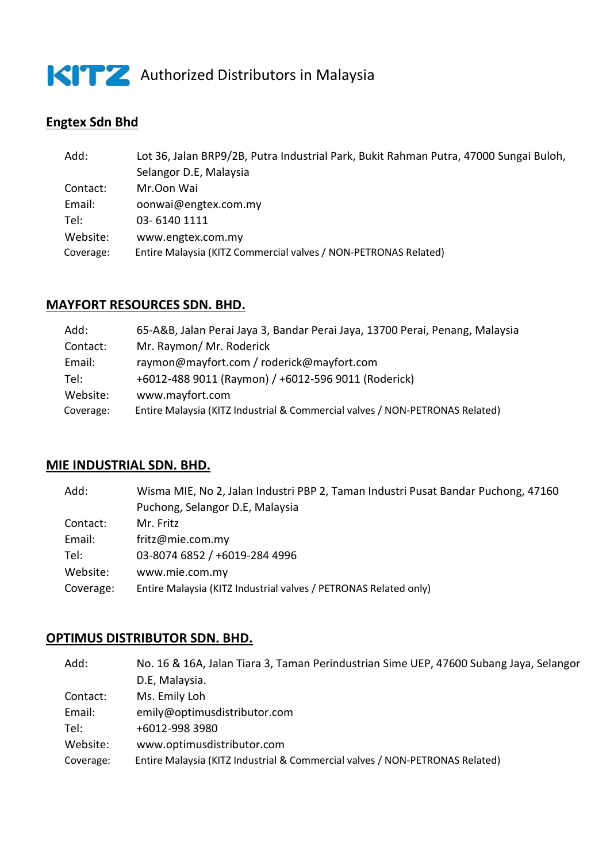

KITZ Authorized Distributors in Malaysia

# **Engtex Sdn Bhd**

| Add:<br>Lot 36, Jalan BRP9/2B, Putra Industrial Park, Bukit Rahman Putra, 47000 Sungai Buloh, |  |
|-----------------------------------------------------------------------------------------------|--|
| Selangor D.E, Malaysia                                                                        |  |
| Mr.Oon Wai<br>Contact:                                                                        |  |
| Email:<br>oonwai@engtex.com.my                                                                |  |
| 03-6140 1111<br>Tel: I                                                                        |  |
| Website:<br>www.engtex.com.my                                                                 |  |
| Entire Malaysia (KITZ Commercial valves / NON-PETRONAS Related)<br>Coverage:                  |  |

#### **MAYFORT RESOURCES SDN. BHD.**

| Add:      | 65-A&B, Jalan Perai Jaya 3, Bandar Perai Jaya, 13700 Perai, Penang, Malaysia |
|-----------|------------------------------------------------------------------------------|
| Contact:  | Mr. Raymon/ Mr. Roderick                                                     |
| Email:    | raymon@mayfort.com / roderick@mayfort.com                                    |
| Tel:      | +6012-488 9011 (Raymon) / +6012-596 9011 (Roderick)                          |
| Website:  | www.mayfort.com                                                              |
| Coverage: | Entire Malaysia (KITZ Industrial & Commercial valves / NON-PETRONAS Related) |

### **MIE INDUSTRIAL SDN. BHD.**

| Add:      | Wisma MIE, No 2, Jalan Industri PBP 2, Taman Industri Pusat Bandar Puchong, 47160 |
|-----------|-----------------------------------------------------------------------------------|
|           | Puchong, Selangor D.E, Malaysia                                                   |
| Contact:  | Mr. Fritz                                                                         |
| Email:    | fritz@mie.com.my                                                                  |
| Tel:      | 03-8074 6852 / +6019-284 4996                                                     |
| Website:  | www.mie.com.my                                                                    |
| Coverage: | Entire Malaysia (KITZ Industrial valves / PETRONAS Related only)                  |

#### **OPTIMUS DISTRIBUTOR SDN. BHD.**

| Add:      | No. 16 & 16A, Jalan Tiara 3, Taman Perindustrian Sime UEP, 47600 Subang Jaya, Selangor |
|-----------|----------------------------------------------------------------------------------------|
|           | D.E, Malaysia.                                                                         |
| Contact:  | Ms. Emily Loh                                                                          |
| Email:    | emily@optimusdistributor.com                                                           |
| Tel:      | +6012-998 3980                                                                         |
| Website:  | www.optimusdistributor.com                                                             |
| Coverage: | Entire Malaysia (KITZ Industrial & Commercial valves / NON-PETRONAS Related)           |